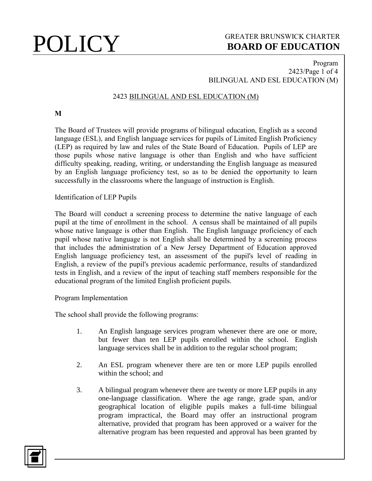### Program 2423/Page 1 of 4 BILINGUAL AND ESL EDUCATION (M)

## 2423 BILINGUAL AND ESL EDUCATION (M)

**M**

The Board of Trustees will provide programs of bilingual education, English as a second language (ESL), and English language services for pupils of Limited English Proficiency (LEP) as required by law and rules of the State Board of Education. Pupils of LEP are those pupils whose native language is other than English and who have sufficient difficulty speaking, reading, writing, or understanding the English language as measured by an English language proficiency test, so as to be denied the opportunity to learn successfully in the classrooms where the language of instruction is English.

Identification of LEP Pupils

The Board will conduct a screening process to determine the native language of each pupil at the time of enrollment in the school. A census shall be maintained of all pupils whose native language is other than English. The English language proficiency of each pupil whose native language is not English shall be determined by a screening process that includes the administration of a New Jersey Department of Education approved English language proficiency test, an assessment of the pupil's level of reading in English, a review of the pupil's previous academic performance, results of standardized tests in English, and a review of the input of teaching staff members responsible for the educational program of the limited English proficient pupils.

### Program Implementation

The school shall provide the following programs:

- 1. An English language services program whenever there are one or more, but fewer than ten LEP pupils enrolled within the school. English language services shall be in addition to the regular school program;
- 2. An ESL program whenever there are ten or more LEP pupils enrolled within the school; and
- 3. A bilingual program whenever there are twenty or more LEP pupils in any one-language classification. Where the age range, grade span, and/or geographical location of eligible pupils makes a full-time bilingual program impractical, the Board may offer an instructional program alternative, provided that program has been approved or a waiver for the alternative program has been requested and approval has been granted by

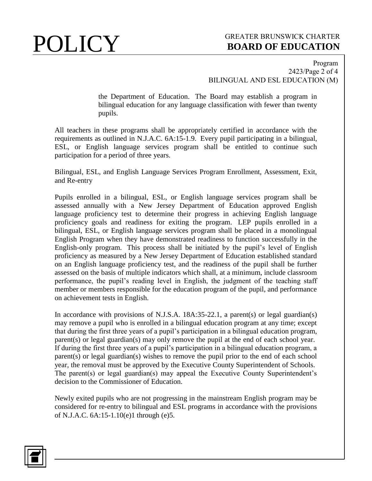### Program 2423/Page 2 of 4 BILINGUAL AND ESL EDUCATION (M)

the Department of Education. The Board may establish a program in bilingual education for any language classification with fewer than twenty pupils.

All teachers in these programs shall be appropriately certified in accordance with the requirements as outlined in N.J.A.C. 6A:15-1.9. Every pupil participating in a bilingual, ESL, or English language services program shall be entitled to continue such participation for a period of three years.

Bilingual, ESL, and English Language Services Program Enrollment, Assessment, Exit, and Re-entry

Pupils enrolled in a bilingual, ESL, or English language services program shall be assessed annually with a New Jersey Department of Education approved English language proficiency test to determine their progress in achieving English language proficiency goals and readiness for exiting the program. LEP pupils enrolled in a bilingual, ESL, or English language services program shall be placed in a monolingual English Program when they have demonstrated readiness to function successfully in the English-only program. This process shall be initiated by the pupil's level of English proficiency as measured by a New Jersey Department of Education established standard on an English language proficiency test, and the readiness of the pupil shall be further assessed on the basis of multiple indicators which shall, at a minimum, include classroom performance, the pupil's reading level in English, the judgment of the teaching staff member or members responsible for the education program of the pupil, and performance on achievement tests in English.

In accordance with provisions of N.J.S.A. 18A:35-22.1, a parent(s) or legal guardian(s) may remove a pupil who is enrolled in a bilingual education program at any time; except that during the first three years of a pupil's participation in a bilingual education program, parent(s) or legal guardian(s) may only remove the pupil at the end of each school year. If during the first three years of a pupil's participation in a bilingual education program, a parent(s) or legal guardian(s) wishes to remove the pupil prior to the end of each school year, the removal must be approved by the Executive County Superintendent of Schools. The parent(s) or legal guardian(s) may appeal the Executive County Superintendent's decision to the Commissioner of Education.

Newly exited pupils who are not progressing in the mainstream English program may be considered for re-entry to bilingual and ESL programs in accordance with the provisions of N.J.A.C. 6A:15-1.10(e)1 through (e)5.

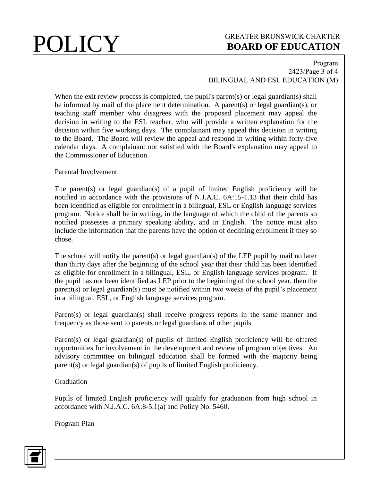### Program 2423/Page 3 of 4 BILINGUAL AND ESL EDUCATION (M)

When the exit review process is completed, the pupil's parent(s) or legal guardian(s) shall be informed by mail of the placement determination. A parent(s) or legal guardian(s), or teaching staff member who disagrees with the proposed placement may appeal the decision in writing to the ESL teacher, who will provide a written explanation for the decision within five working days. The complainant may appeal this decision in writing to the Board. The Board will review the appeal and respond in writing within forty-five calendar days. A complainant not satisfied with the Board's explanation may appeal to the Commissioner of Education.

Parental Involvement

The parent(s) or legal guardian(s) of a pupil of limited English proficiency will be notified in accordance with the provisions of N.J.A.C. 6A:15-1.13 that their child has been identified as eligible for enrollment in a bilingual, ESL or English language services program. Notice shall be in writing, in the language of which the child of the parents so notified possesses a primary speaking ability, and in English. The notice must also include the information that the parents have the option of declining enrollment if they so chose.

The school will notify the parent(s) or legal guardian(s) of the LEP pupil by mail no later than thirty days after the beginning of the school year that their child has been identified as eligible for enrollment in a bilingual, ESL, or English language services program. If the pupil has not been identified as LEP prior to the beginning of the school year, then the parent(s) or legal guardian(s) must be notified within two weeks of the pupil's placement in a bilingual, ESL, or English language services program.

Parent(s) or legal guardian(s) shall receive progress reports in the same manner and frequency as those sent to parents or legal guardians of other pupils.

Parent(s) or legal guardian(s) of pupils of limited English proficiency will be offered opportunities for involvement in the development and review of program objectives. An advisory committee on bilingual education shall be formed with the majority being parent(s) or legal guardian(s) of pupils of limited English proficiency.

Graduation

Pupils of limited English proficiency will qualify for graduation from high school in accordance with N.J.A.C. 6A:8-5.1(a) and Policy No. 5460.

Program Plan